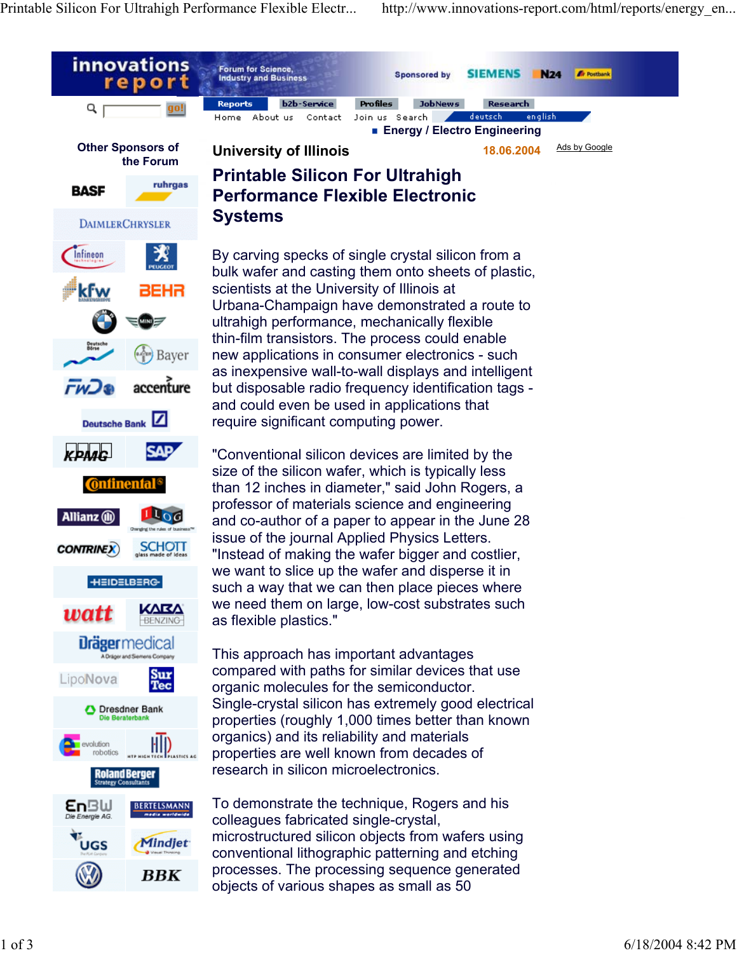Printable Silicon For Ultrahigh Performance Flexible Electr... http://www.innovations-report.com/html/reports/energy\_en...

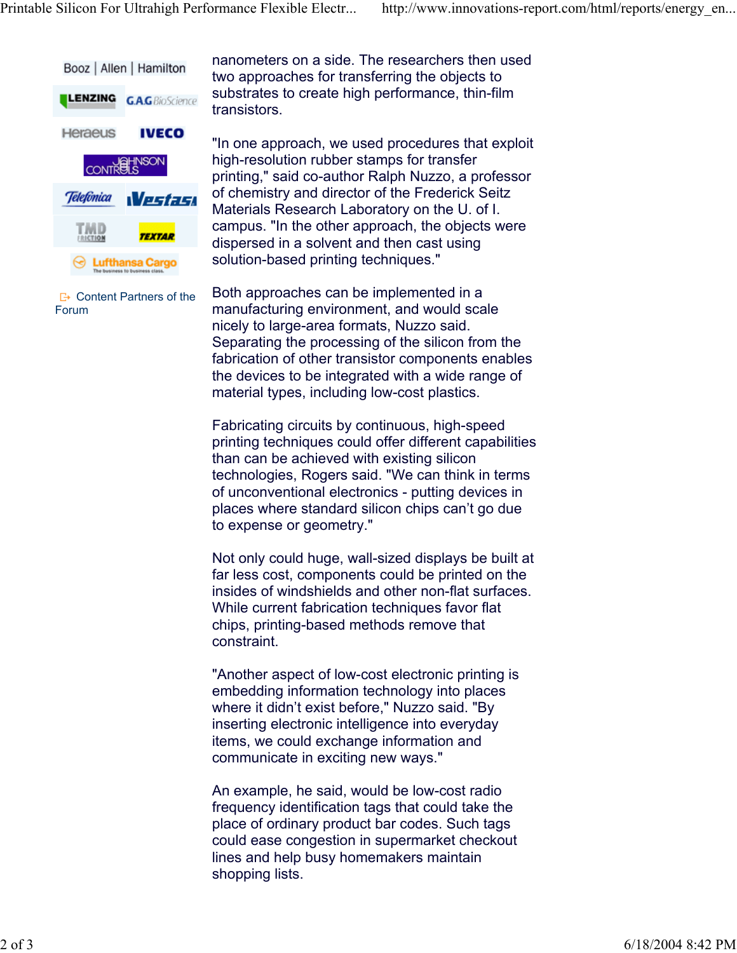

 $E^*$  Content Partners of the Forum

nanometers on a side. The researchers then used two approaches for transferring the objects to substrates to create high performance, thin-film transistors.

"In one approach, we used procedures that exploit high-resolution rubber stamps for transfer printing," said co-author Ralph Nuzzo, a professor of chemistry and director of the Frederick Seitz Materials Research Laboratory on the U. of I. campus. "In the other approach, the objects were dispersed in a solvent and then cast using solution-based printing techniques."

Both approaches can be implemented in a manufacturing environment, and would scale nicely to large-area formats, Nuzzo said. Separating the processing of the silicon from the fabrication of other transistor components enables the devices to be integrated with a wide range of material types, including low-cost plastics.

Fabricating circuits by continuous, high-speed printing techniques could offer different capabilities than can be achieved with existing silicon technologies, Rogers said. "We can think in terms of unconventional electronics - putting devices in places where standard silicon chips can't go due to expense or geometry."

Not only could huge, wall-sized displays be built at far less cost, components could be printed on the insides of windshields and other non-flat surfaces. While current fabrication techniques favor flat chips, printing-based methods remove that constraint.

"Another aspect of low-cost electronic printing is embedding information technology into places where it didn't exist before," Nuzzo said. "By inserting electronic intelligence into everyday items, we could exchange information and communicate in exciting new ways."

An example, he said, would be low-cost radio frequency identification tags that could take the place of ordinary product bar codes. Such tags could ease congestion in supermarket checkout lines and help busy homemakers maintain shopping lists.